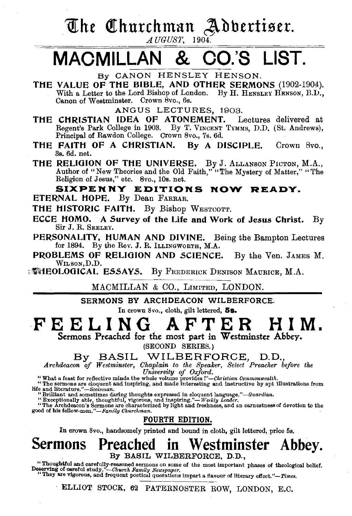# The Churchman Adbertiser.

# MACMILLAN & CO.'S LIST.

THE VALUE OF THE BIBLE, AND OTHER SERMONS (1902-1904). With a Letter to the Lord Bishop of London. By H. HENSLEY HENSON, B.D., Canon of Westminster. Crown Svo., 6s.

ANGUS LECTURES, 1903.

- THE CHRISTIAN IDEA OF ATONEMENT. Lectures delivered at Regent's Park College in 1903. By T. VINCENT TYMMS, D.D. (St. Andrews), Principal of Rawdon College. Crown Svo., 7s. 6d.
- THE FAITH OF A CHRISTIAN. By A DISCIPLE. Crown 8vo., 3s. 6d. net.

THE RELIGION OF THE UNIVERSE. By J. ALLANSON PICTON, M.A., Author of "New Theories and the Old Faith," "The Mystery of Matter," "The Religion of Jesus," etc. Svo., lOs. net.

SIXPENNY EDITIONS NOW READY. ETERNAL HOPE. By Dean FARRAR.

- THE HISTORIC FAITH. By Bishop WESTCOTT.
- ECCE HOMO. A Survey of the Life and Work of Jesus Christ. By Sir J. R. SEELEY.
- PERSONALITY, HUMAN AND DIVINE. Being the Bampton Lectures for 1894. By the Rev. J. R. ILLINGWORTH, M.A.
- PROBLEMS OF RELIGION AND SCIENCE. By the Ven. JAMES M. WILSON,D.D.

 $\mathbb{R}^{\mathbb{Z}}$  is the Denison Maurice, M.A.

MACMILLAN & co., LIMITED, LONDON.

SERMONS BY ARCHDEACON WILBERFORCE.

In crown 8vo., cloth, gilt lettered, 5s.

# FEELING AFTER HIM.<br>Sermons Preached for the most part in Westminster Abbey.

(SECOND SERIES.)

By BASIL WILBERFORCE, D.D.,

*Archdeacon of Westminster, Chaplain to the Speaker, Select Preacher before the University of Oxford.* 

"What a feast for reflective minds the whole volume provides !"—Christian Commonwealth.<br>"The sermons are eloquent and inspiring, and made interesting and instructive by apt illustrations from<br>life and literature."—Scotsma

It all uncertaints. —Scotsman,<br>"Brilliant and sometimes daring thoughts expressed in eloquent language."—Guardian.<br>"The Archdescon's Sermons are characterized by light and freshness, and an earnestness of devotion to the<br>"

### FOURTH EDITION.

In crown 8vo., handsomely printed and bound in cloth, gilt lettered, price 5s.

## Sermons Preached in Westminster Abbey. By BASIL WILBERFORCE, D.D.,

"Thoughtful and carefully-reasoned sermons on some of the most important phases of theological belief.<br>Deserving of careful study."—Charch Family Newspaper.<br>"They are vigorous, and frequent poetical quotations impart a fl

ELLIOT STOCK, 62 PATERNOSTER ROW, LONDON, E.C,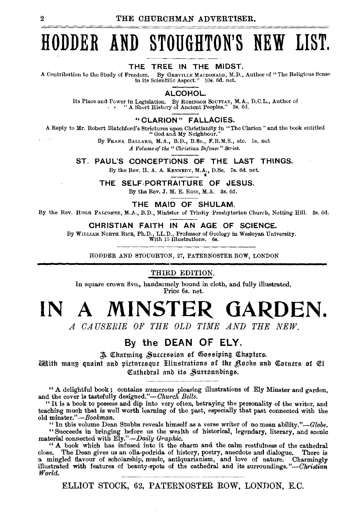# **HODDER AND STOUGHTON'S NEW LIST.**

#### THE TREE IN THE MIDST.

A Contribution to the Study of Freedom. By GREVILLE MACDONALD, M.D., Author of" The Religious Sense in its Scientific Aspect." lOs. 6d. net.

ALCOHOL.

Its Place and Power in Legislation. By ROBINSON SouTTAR, M.A., D.C.L., Author of • • " A Shurt History of Ancient Peoples." 3s. 6d.

#### "CLARION" FALLACIES.

A Reply to Mr. Robert Blatchford's Strictures upon Christianity in "The Clarion" and the book entitled "God and My Neighbour."

By FRANK BALLARD, M.A., B.D., B.Sc., F.R.M.S., etc. ls. net *A Volume of the "Christian Defence" &ries.* 

ST. PAUL'S CONCEPTIONS OF THE LAST THINGS.

By the Rev. H. A. A. KENNEDY, M.A., D.Sc. 7s. 6d. net.<br>
•  $\sigma \sigma$ :  $\sigma$  and  $\sigma$  =  $\sigma$  =  $\sigma$  =  $\sigma$  =  $\sigma$  =  $\sigma$  =  $\sigma$  =  $\sigma$  =  $\sigma$  =  $\sigma$  =  $\sigma$  =  $\sigma$  =  $\sigma$  =  $\sigma$  =  $\sigma$  =  $\sigma$  =  $\sigma$  =  $\sigma$  =  $\sigma$  =  $\sigma$  =  $\sigma$  =

THE SELF-PORTRAITURE OF JESUS.

By the Rev. J. M. E. Ross, M.A. 3s. 6d.

THE MAID OF SHULAM.

By the Rev. Huoa FALCONER, M.A., B.D., Minister of Trinity Presbyterian Church, Notting Hill. Ss. 6d.

#### CHRISTIAN FAITH IN AN AGE OF SCIENCE.

By WILLIAM NoRTH RICE, Ph.D., LL.D., Professor of Geology in Wesleyan University.

With 15 Illustrations. 6s.

HODDER AND STOUGHTON, 27, PATERNOSTER ROW, LONDON

#### THIRD EDITION.

In square crown Svo., handsomely bound in cloth, and fully illustrated. Price 6s. net.

# **IN A MINSTER GARDEN.**

*A CAUSERIE OF THE OLD TIME AND THE NEW.* 

### By the **DEAN OF ELY.**

A Charming Succession of Gossiping Chapters.

 $\widetilde{\bm{x}}$  and  $\bm{x}$  and  $\bm{x}$  and  $\bm{x}$  and  $\bm{x}$  and  $\bm{x}$  and  $\bm{x}$  and  $\bm{x}$  and  $\bm{x}$  and  $\bm{x}$  and  $\bm{x}$  and  $\bm{x}$  and  $\bm{x}$  and  $\bm{x}$  and  $\bm{x}$  and  $\bm{x}$  and  $\bm{x}$  and  $\bm{x}$  and  $\bm{x}$  and  $\bm{x}$  a Cathedral and its Surronndings.

" A delightful book ; contains numerous pleasing illustrations of Ely Minster and garden, and the cover is tastefully designed."-Church Bells.

"It is a book to possess and dip into very often, betraying the personality of the writer, and teaching much that is well worth learning of the past, especially that past connected with the old *minster."-Bookman.* 

"In this volume Dean Stubbs reveals himself as a verse writer of no mean ability." $-dlobe$ . "Succeeds in bringing before us the wealth of historical, legendary, literary, and scenic material connected with *Ely."-Daily* Gmphic.

" A book which has infused into it the charm and the calm restfulness of the cathedral close. The Dean gives us an olla-podrida of history, poetry, anecdote and dialogue. There is ·a mingled flavour of scholarship, music, antiquarianism, and love of nature. Charmingly illustrated with features of beauty-spots of the cathedral and its surroundings." *-Christian World.* 

ELLIOT STOCK, 62, PATERNOSTER ROW, LONDON, E.C.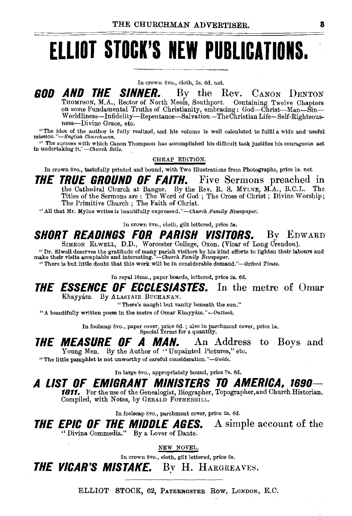# **ELLIOT STOCK'S NEW PUBLICATIONS.**

In crown Svo., cloth, 2s. 6d. net.

*GOD AND THE SINNER.* By the Rev. CANON DENTON THOMPSON, M.A., Rector of North Meols, Southport. Containing Twelve Chapters on some Fundamental Truths of Christianity, embracing: God-Christ-Man-Sin-W orldliness-Infidelity-Repentance-Salvation-The Christian Life-Self-Righteousness-Divine Grace, etc.

"The idea of the author is fully realized, and his volume is well calculated to fulfil a wide and useful *mission."-English Churchman*.

'' The success with which Canon Thompson has accomplished his difficult task justifies his courageoug act in undertaking it.' *-Church Bells.* .

#### CHEAP EDITION.

In crown *Svo.,* tastefully printed and bound, with Two Illustrations from Photographs, price Is. net.

*THE TRUE GROUND OF FAITH.* Five Sermons preached in the Cathedral Church at Bangor. By the Rev. R. S. MYLNE, M.A., B.C.L. The Titles of the Sermons are : The Word of God ; The Cross of Christ ; Divine Worship; The Primitive Church ; The Faith of Christ.

"All that Mr. Mylne writes is beautifully *expressed."-Church Family Newspaper.* 

In crown Svo., cloth, gilt lettered, price 5s.

## *SHORT READINGS FOR PARISH VISITORS.* By EDWARD SIMBON ELWELL, D.D., Worcester College, Oxon. (Vicar of Long Crendon).

"Dr. Elwell deserves the gratitude of many parish visitors by his kind efforts to lighten their labours and make their visits acceptable and interesting."—Church Family Rewspaper.

"There is but little doubt that this work will be in considerable demand."-Oxford *Times.* 

In royal 16mo., paper boards, lettered, price 2s. 6d.

### *THE ESSENCE OF ECCLESIASTES.* In the metre of Omar Khayyam. By ALASTAIR BUCHANAN.

"There's naught but vanity beneath the sun."

"A beautifully written poem in the metre of Omar Khayyam."- *Outlook.* 

In foolscap 8vo., paper cover, price 6d.; also in parchment cover, price ls. Special Terms for a quantity.

#### *THE MEASURE OF A MAN.* Young Men. By the Author of ''Unpainted Pictures," etc. An Address to Boys and

"The little pamphlet is not unworthy of careful consideration.''-Guide.

In large Svo., appropriately bound, price 7s. 6d.

## *A LIST OF EMIGRANT MINISTERS TO AMERICA, 1690-*

1811. For the use of the Genealogist, Biographer, Topographer, and Church Historian. Compiled, with Notes, by GERALD FOTHERGILL.

In foolscap Svo., parchment cover, price 2s. 6d.

*THE EPIC OF THE MIDDLE AGES.* A simple account of the "Divina Commedia." By a Lover of Dante.

NEW NOVEL.

In crown Svo., cloth, gilt lettered, price 6s.

*THE VICAR'S MISTAKE.* By H. HARGREAVES.

ELLIOT STOCK, 62, PATERNOSTER Row, LoNDON, E.C.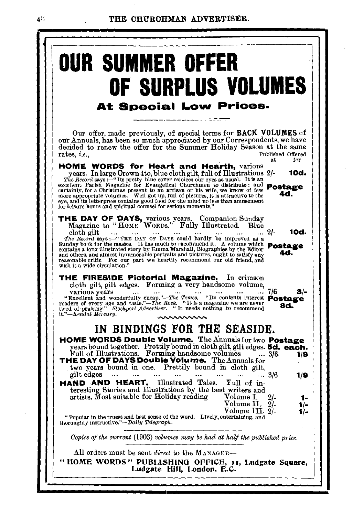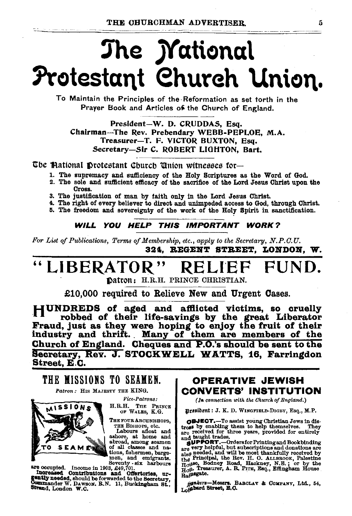# The *Mational* Protestant Church Union.

To Maintain the Principles of the Reformation as set torth in the Prayer Book and Articles of the Church of England.

President-W. D. CRUDDAS, Esq. Chairman-The Rev. Prebendary WEBB-PEPLOE. M.A. Treasurer-T. F. VICTOR BUXTON, Esq. Secretary-Sir C. ROBERT LIGHTON, Bart.

The Mational Drotestant Church Union witnesses for-

- 1. The supremacy and sufficiency of the Holy Scriptures as the Word of God.
- 2. The sole and sufficient efficacy of the sacrifice of the Lord Jesus Christ upon the Стояя.
- 3. The justification of man by faith only in the Lord Jesus Christ.
- 4. The right of every believer to direct and unimpeded access to God, through Christ.
- 5. The freedom and sovereignty of the work of the Holy Spirit in sanctification.

WILL YOU HELP THIS IMPORTANT WORK?

For List of Publications, Terms of Membership, etc., apply to the Secretary, N.P.C.U. 324. REGENT STREET. LONDON. W.

### LIBERATOR" REI

Datron: H.R.H. PRINCE CHRISTIAN.

£10.000 required to Relieve New and Urgent Cases.

HUNDREDS of aged and afflicted victims, so cruelly robbed of their life-savings by the great Liberator Fraud, just as they were hoping to enjoy the fruit of their<br>industry and thrift. Many of them are members of the Church of England. Cheques and P.O.'s should be sent to the Secretary, Rev. J. STOCKWELL WATTS, 16, Farringdon Street, E.C.

### THE MISSIONS TO SEAMEN.

Patron: HIS MAJESTY THE KING.



**Fice-Patrons:** H.R.H. THE PRINCE OF WALES, K.G.

THE FOUR ARCHBISHOPS,

THE BISROPS, etc.<br>
THE BISROPS, etc.<br>
Labours afloat and<br>
ashroe, at home and<br>
abroad, among seament<br>
of all classes and na-<br>
tions, fishermen, barge-

Nons, fishermen, barge-<br>
man, and emigrants.<br>
Seventy - six harbours<br>
Increased Contributions and Offertories, uncomposity<br>
needed, should be forwarded to the Secretary,<br>
Commander W. DAwson, B.N. 11, Buckingham St.,<br>
Stra

### OPERATIVE JEWISH **CONVERTS' INSTITUTION**

(In connection with the Church of England.)

Hresident : J. K. D. WINGFIELD-DIGBY, Esq., M.P.

**OBJECT.**-To assist young Christian Jews in distress by enabling them to help themselves. They are received for three years, provided for entirely

are received for three years, provided for entirely<br>and haught trades.<br> **SUPPORT.**—Ordersfor Printing and Bookbinding<br>
are very helpful, but subscriptions and donktons are<br>
also needed, and will be most thankfully received Rapagate.

 $\beta$ ankers-Messrs. BAROLAY & COMPANY, Ltd., 54, Lofsbard Street, E.O.

5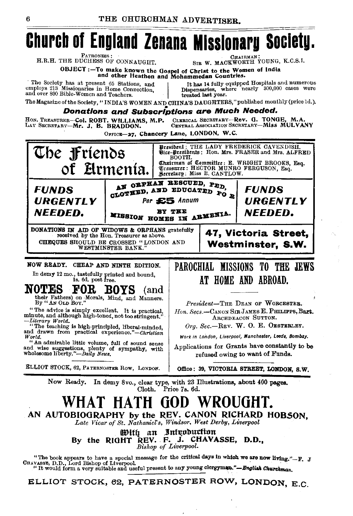# **Church of England Zenana Missionary Society.**

PATRONESS :

H.R.H. THE DUCHESS OF CONNAUGHT.

**CHAIRMAL** SIR W. MACKWORTH YOUNG, K.C.S.I.

OBJECT:-To make known the Gospel of Christ to the Women of India<br>and other Heathen and Mohammedan Countries.

The Society has at present 65 Stations, and employs 213 Missionaries in Home Connection, and over 800 Bible-Women and Teachers.

It has 14 fully equipped Hospitals and numerous<br>Dispensaries, where nearly 300,000 cases were treated last year.

The Magazine of the Society, "INDIA'S WOMEN AND CHINA'S DAUGHTERS," published monthly (price 1d.).

**Donations and Subscriptions are Much Needed.** 

CLERICAL SECRETARY-Rev. G. TONGE. M.A. HON. TREASURER-Col. ROBT. WILLIAMS, M.P. CENTRAL ASSOCIATION SECRETARY-MISS MULVANY LAY SECRETARY-Mr. J. B. BRADDON.

OFFICE-27, Chancery Lane, LONDON, W.C.



### WHAT HATH GOD WROUGHT. AN AUTOBIOGRAPHY by the REV. CANON RICHARD HOBSON.

Late Vicar of St. Nathaniel's, Windsor, West Derby, Liverpool

With an Introduction By the RIGHT REV. F. J. CHAVASSE, D.D., Bishop of Liverpool.

"The book appears to have a special message for the critical days in which we are now living."--F. J<br>CHAVASES, D.D., Lord Bishop of Liverpool.<br> $\frac{1}{2}$  is the mould form a name of the special message in the special secti "It would form a very suitable and useful present to any young clergyman."-Buglish Churchman.

ELLIOT STOCK, 62, PATERNOSTER ROW, LONDON, E.C.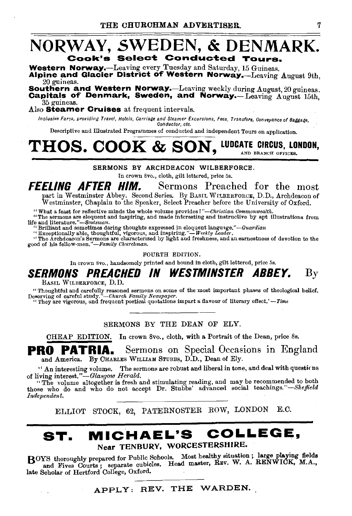### NORWAY, SWEDEN, & DENMARK. Cook's Select: Conducted Tours.

Western Norway.—Leaving every Tuesday and Saturday, 15 Guineas.  $\lambda$ lpine and Glacier District of Western Norway.—Leaving  $\Lambda$ ugust 9th, 20 guineas.

Southern and Western Norway.-Leaving weekly during August, 20 guineas. Capitals of Denmark, Sweden, and Norway.- Leaving August 15th. 35 guineas. '

Also **Steamer Cruises** at frequent intervals.

Inclusive Fares, providing Travel, Hotels, Carriage and Steamer Excursions, Fees, Transfers, Conveyance of Baggage, *Conductor, etc.* 

Descriptive and Illustrated Programmes of conducted and independent Tours on application.

# $\mathbf{THOS.~COOK~\&~SON,~}$  ludcate circus, london,

SERMONS BY ARCHDEACON WILBERFORCE.

In crown Svo., cloth, gilt lettered, price 5s.

FEELING AFTER HIM. Sermons Preached for the most part in Westminster Abbey. Second Series. By BASIL WILBERFORCE, D.D., Archdeacon of Westminster, Chaplain to the Speaker, Select Preacher before the University of Oxford.

"What a feast for reflective minds the whole volume provides!"—Christian Commonwealth.<br>"The sermons are eloquent and inspiring, and made interesting and instructive by apt illustrations from<br>life and literature."—Scotsman

" Brilliant and sometimes daring thoughts expressed in eloquent language."—Guardian<br>"Exceptionally able, thoughtful, vigorous, and inspiring."—Weekly Leader.<br>"The Archdescon's Sermons are characterized by light and freshne

FOURTH EDITION.

In crown 8vo., handsomely printed and bound in cloth, gilt lettered, price 5s.

## SERMONS PREACHED IN WESTMINSTER ABBEY.  ${\rm By}$

BASIL WILBERFORCE, D.D.

"Thoughtful and carefully reasoned sermons on some of the most important phases of theological belief. Deserving of careful study."-Church Family Newspaper.<br>
"They are vigorous, and frequent poetical quotations impart a flavour of literary effect.' - Time

SERMONS BY THE DEAN OF ELY.

CHEAP EDITION. In crown Svo., cloth, with a Portrait of the Dean, price Ss.

**PRO PATRIA.** Sermons on Special Occasions in England and America. By CHARLES WILLIAM STUBBS, D.D., Dean of Ely.

"An interesting volume. The sermons are robust and liberal in tone, and deal with questicns of living interest." *-Glasgow Herald.* 

"The volume altogether is fresh and stimulating reading, and may be recommended to both those who do and who do not accept Dr. Stubbs' advanced social *teachings."-Sheffield Independent.* 

ELLIOT STOCK, 62, PATERNOSTER ROW, LONDON E.C.

### ST. MICHAEL'S COLLEGE, Near TENBURY, WORCESTERSHIRE.

BOYS thoroughly prepared for Public Schools. Most healthy situation; large playing fields and Fives Courts; separate cubicles. Head master, REV. W. A. RENWICK, M.A., late Scholar of Hertford College, Oxford.

APPLY: REV. THE WARDEN.